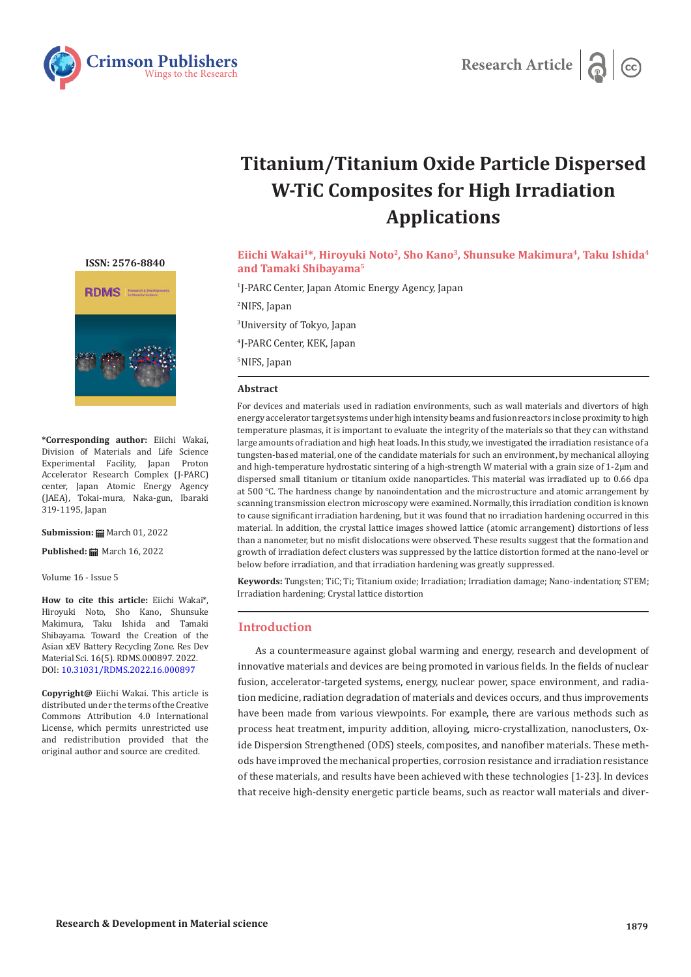



# **Titanium/Titanium Oxide Particle Dispersed W-TiC Composites for High Irradiation Applications**

**[ISSN: 2576-8840](https://crimsonpublishers.com/rdms/index.php)**



**\*Corresponding author:** Eiichi Wakai, Division of Materials and Life Science Experimental Facility, Japan Proton Accelerator Research Complex (J-PARC) center, Japan Atomic Energy Agency (JAEA), Tokai-mura, Naka-gun, Ibaraki 319-1195, Japan

**Submission: m** March 01, 2022

**Published:** March 16, 2022

Volume 16 - Issue 5

**How to cite this article:** Eiichi Wakai\*, Hiroyuki Noto, Sho Kano, Shunsuke Makimura, Taku Ishida and Tamaki Shibayama. Toward the Creation of the Asian xEV Battery Recycling Zone. Res Dev Material Sci. 16(5). RDMS.000897. 2022. DOI: [10.31031/RDMS.2022.16.000897](http://dx.doi.org/10.31031/RDMS.2022.16.000897)

**Copyright@** Eiichi Wakai. This article is distributed under the terms of the Creative Commons Attribution 4.0 International License, which permits unrestricted use and redistribution provided that the original author and source are credited.

Eiichi Wakai<sup>1\*</sup>, Hiroyuki Noto<sup>2</sup>, Sho Kano<sup>3</sup>, Shunsuke Makimura<sup>4</sup>, Taku Ishida<sup>4</sup> **and Tamaki Shibayama5**

 J-PARC Center, Japan Atomic Energy Agency, Japan NIFS, Japan University of Tokyo, Japan J-PARC Center, KEK, Japan NIFS, Japan

#### **Abstract**

For devices and materials used in radiation environments, such as wall materials and divertors of high energy accelerator target systems under high intensity beams and fusion reactors in close proximity to high temperature plasmas, it is important to evaluate the integrity of the materials so that they can withstand large amounts of radiation and high heat loads. In this study, we investigated the irradiation resistance of a tungsten-based material, one of the candidate materials for such an environment, by mechanical alloying and high-temperature hydrostatic sintering of a high-strength W material with a grain size of 1-2μm and dispersed small titanium or titanium oxide nanoparticles. This material was irradiated up to 0.66 dpa at 500 °C. The hardness change by nanoindentation and the microstructure and atomic arrangement by scanning transmission electron microscopy were examined. Normally, this irradiation condition is known to cause significant irradiation hardening, but it was found that no irradiation hardening occurred in this material. In addition, the crystal lattice images showed lattice (atomic arrangement) distortions of less than a nanometer, but no misfit dislocations were observed. These results suggest that the formation and growth of irradiation defect clusters was suppressed by the lattice distortion formed at the nano-level or below before irradiation, and that irradiation hardening was greatly suppressed.

**Keywords:** Tungsten; TiC; Ti; Titanium oxide; Irradiation; Irradiation damage; Nano-indentation; STEM; Irradiation hardening; Crystal lattice distortion

## **Introduction**

As a countermeasure against global warming and energy, research and development of innovative materials and devices are being promoted in various fields. In the fields of nuclear fusion, accelerator-targeted systems, energy, nuclear power, space environment, and radiation medicine, radiation degradation of materials and devices occurs, and thus improvements have been made from various viewpoints. For example, there are various methods such as process heat treatment, impurity addition, alloying, micro-crystallization, nanoclusters, Oxide Dispersion Strengthened (ODS) steels, composites, and nanofiber materials. These methods have improved the mechanical properties, corrosion resistance and irradiation resistance of these materials, and results have been achieved with these technologies [1-23]. In devices that receive high-density energetic particle beams, such as reactor wall materials and diver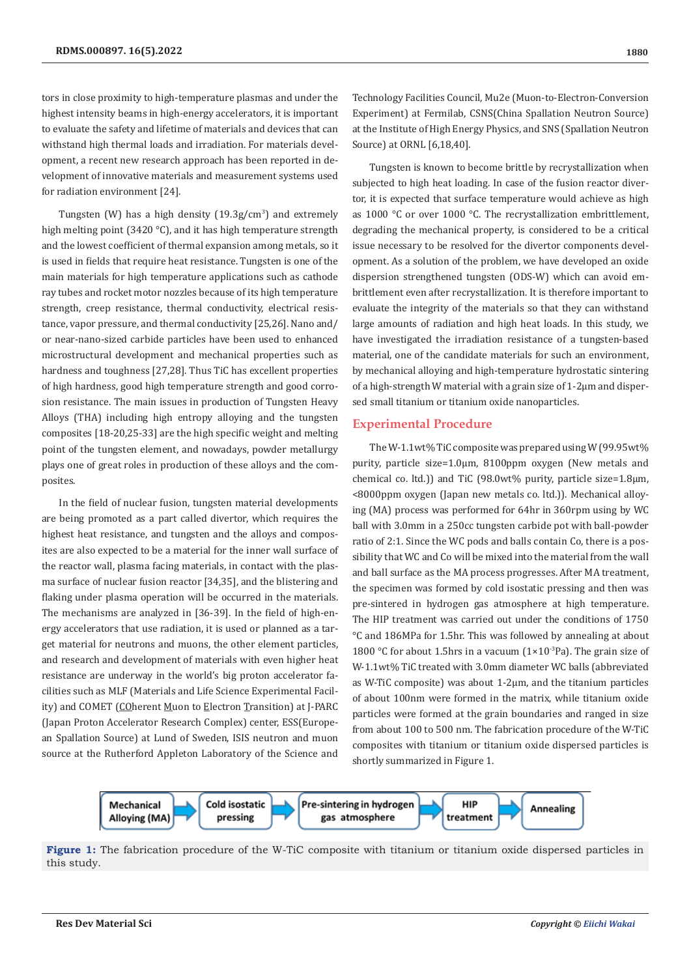tors in close proximity to high-temperature plasmas and under the highest intensity beams in high-energy accelerators, it is important to evaluate the safety and lifetime of materials and devices that can withstand high thermal loads and irradiation. For materials development, a recent new research approach has been reported in development of innovative materials and measurement systems used for radiation environment [24].

Tungsten (W) has a high density  $(19.3g/cm^3)$  and extremely high melting point (3420 °C), and it has high temperature strength and the lowest coefficient of thermal expansion among metals, so it is used in fields that require heat resistance. Tungsten is one of the main materials for high temperature applications such as cathode ray tubes and rocket motor nozzles because of its high temperature strength, creep resistance, thermal conductivity, electrical resistance, vapor pressure, and thermal conductivity [25,26]. Nano and/ or near-nano-sized carbide particles have been used to enhanced microstructural development and mechanical properties such as hardness and toughness [27,28]. Thus TiC has excellent properties of high hardness, good high temperature strength and good corrosion resistance. The main issues in production of Tungsten Heavy Alloys (THA) including high entropy alloying and the tungsten composites [18-20,25-33] are the high specific weight and melting point of the tungsten element, and nowadays, powder metallurgy plays one of great roles in production of these alloys and the composites.

In the field of nuclear fusion, tungsten material developments are being promoted as a part called divertor, which requires the highest heat resistance, and tungsten and the alloys and composites are also expected to be a material for the inner wall surface of the reactor wall, plasma facing materials, in contact with the plasma surface of nuclear fusion reactor [34,35], and the blistering and flaking under plasma operation will be occurred in the materials. The mechanisms are analyzed in [36-39]. In the field of high-energy accelerators that use radiation, it is used or planned as a target material for neutrons and muons, the other element particles, and research and development of materials with even higher heat resistance are underway in the world's big proton accelerator facilities such as MLF (Materials and Life Science Experimental Facility) and COMET (COherent Muon to Electron Transition) at J-PARC (Japan Proton Accelerator Research Complex) center, ESS(European Spallation Source) at Lund of Sweden, ISIS neutron and muon source at the Rutherford Appleton Laboratory of the Science and

Technology Facilities Council, Mu2e (Muon-to-Electron-Conversion Experiment) at Fermilab, CSNS(China Spallation Neutron Source) at the Institute of High Energy Physics, and SNS (Spallation Neutron Source) at ORNL [6,18,40].

Tungsten is known to become brittle by recrystallization when subjected to high heat loading. In case of the fusion reactor divertor, it is expected that surface temperature would achieve as high as 1000 °C or over 1000 °C. The recrystallization embrittlement, degrading the mechanical property, is considered to be a critical issue necessary to be resolved for the divertor components development. As a solution of the problem, we have developed an oxide dispersion strengthened tungsten (ODS-W) which can avoid embrittlement even after recrystallization. It is therefore important to evaluate the integrity of the materials so that they can withstand large amounts of radiation and high heat loads. In this study, we have investigated the irradiation resistance of a tungsten-based material, one of the candidate materials for such an environment, by mechanical alloying and high-temperature hydrostatic sintering of a high-strength W material with a grain size of 1-2μm and dispersed small titanium or titanium oxide nanoparticles.

## **Experimental Procedure**

The W-1.1wt% TiC composite was prepared using W (99.95wt% purity, particle size=1.0μm, 8100ppm oxygen (New metals and chemical co. ltd.)) and TiC (98.0wt% purity, particle size=1.8μm, <8000ppm oxygen (Japan new metals co. ltd.)). Mechanical alloying (MA) process was performed for 64hr in 360rpm using by WC ball with 3.0mm in a 250cc tungsten carbide pot with ball-powder ratio of 2:1. Since the WC pods and balls contain Co, there is a possibility that WC and Co will be mixed into the material from the wall and ball surface as the MA process progresses. After MA treatment, the specimen was formed by cold isostatic pressing and then was pre-sintered in hydrogen gas atmosphere at high temperature. The HIP treatment was carried out under the conditions of 1750 °C and 186MPa for 1.5hr. This was followed by annealing at about 1800 °C for about 1.5hrs in a vacuum  $(1\times10^{-3}$ Pa). The grain size of W-1.1wt% TiC treated with 3.0mm diameter WC balls (abbreviated as W-TiC composite) was about 1-2μm, and the titanium particles of about 100nm were formed in the matrix, while titanium oxide particles were formed at the grain boundaries and ranged in size from about 100 to 500 nm. The fabrication procedure of the W-TiC composites with titanium or titanium oxide dispersed particles is shortly summarized in Figure 1.



**Figure 1:** The fabrication procedure of the W-TiC composite with titanium or titanium oxide dispersed particles in this study.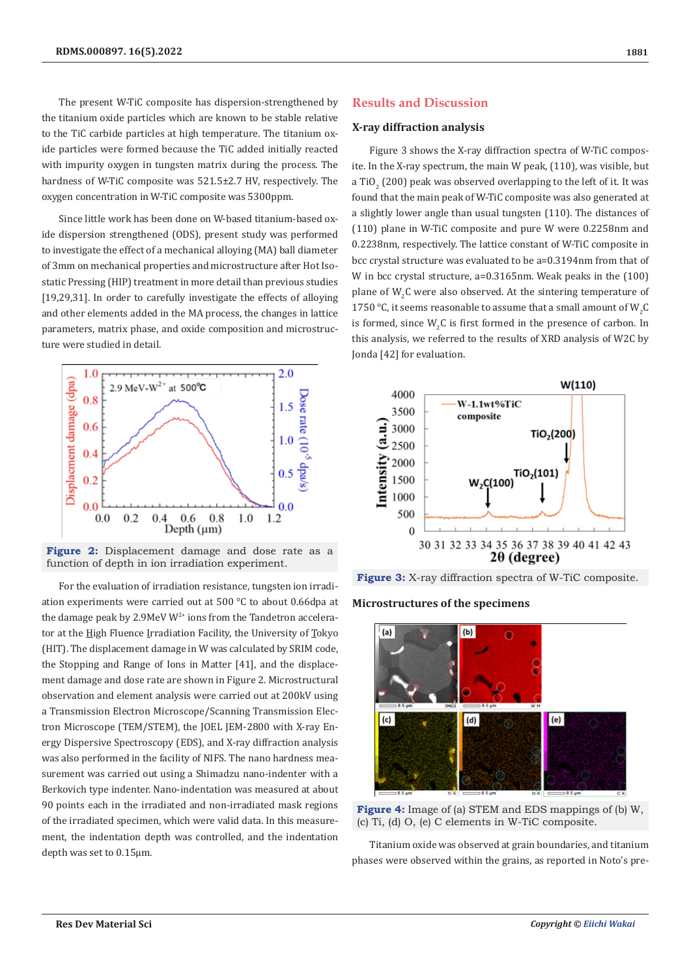The present W-TiC composite has dispersion-strengthened by the titanium oxide particles which are known to be stable relative to the TiC carbide particles at high temperature. The titanium oxide particles were formed because the TiC added initially reacted with impurity oxygen in tungsten matrix during the process. The hardness of W-TiC composite was 521.5±2.7 HV, respectively. The oxygen concentration in W-TiC composite was 5300ppm.

Since little work has been done on W-based titanium-based oxide dispersion strengthened (ODS), present study was performed to investigate the effect of a mechanical alloying (MA) ball diameter of 3mm on mechanical properties and microstructure after Hot Isostatic Pressing (HIP) treatment in more detail than previous studies [19,29,31]. In order to carefully investigate the effects of alloying and other elements added in the MA process, the changes in lattice parameters, matrix phase, and oxide composition and microstructure were studied in detail.



**Figure 2:** Displacement damage and dose rate as a function of depth in ion irradiation experiment.

For the evaluation of irradiation resistance, tungsten ion irradiation experiments were carried out at 500 °C to about 0.66dpa at the damage peak by 2.9MeV  $W^{2+}$  ions from the Tandetron accelerator at the High Fluence Irradiation Facility, the University of Tokyo (HIT). The displacement damage in W was calculated by SRIM code, the Stopping and Range of Ions in Matter [41], and the displacement damage and dose rate are shown in Figure 2. Microstructural observation and element analysis were carried out at 200kV using a Transmission Electron Microscope/Scanning Transmission Electron Microscope (TEM/STEM), the JOEL JEM-2800 with X-ray Energy Dispersive Spectroscopy (EDS), and X-ray diffraction analysis was also performed in the facility of NIFS. The nano hardness measurement was carried out using a Shimadzu nano-indenter with a Berkovich type indenter. Nano-indentation was measured at about 90 points each in the irradiated and non-irradiated mask regions of the irradiated specimen, which were valid data. In this measurement, the indentation depth was controlled, and the indentation depth was set to 0.15μm.

# **Results and Discussion**

### **X-ray diffraction analysis**

Figure 3 shows the X-ray diffraction spectra of W-TiC composite. In the X-ray spectrum, the main W peak, (110), was visible, but a TiO $_2$  (200) peak was observed overlapping to the left of it. It was found that the main peak of W-TiC composite was also generated at a slightly lower angle than usual tungsten (110). The distances of (110) plane in W-TiC composite and pure W were 0.2258nm and 0.2238nm, respectively. The lattice constant of W-TiC composite in bcc crystal structure was evaluated to be a=0.3194nm from that of W in bcc crystal structure, a=0.3165nm. Weak peaks in the (100) plane of  $W_2C$  were also observed. At the sintering temperature of 1750 °C, it seems reasonable to assume that a small amount of  $W_2C$ is formed, since  $W_2C$  is first formed in the presence of carbon. In this analysis, we referred to the results of XRD analysis of W2C by Jonda [42] for evaluation.





**Microstructures of the specimens**



**Figure 4:** Image of (a) STEM and EDS mappings of (b) W, (c) Ti, (d) O, (e) C elements in W-TiC composite.

Titanium oxide was observed at grain boundaries, and titanium phases were observed within the grains, as reported in Noto's pre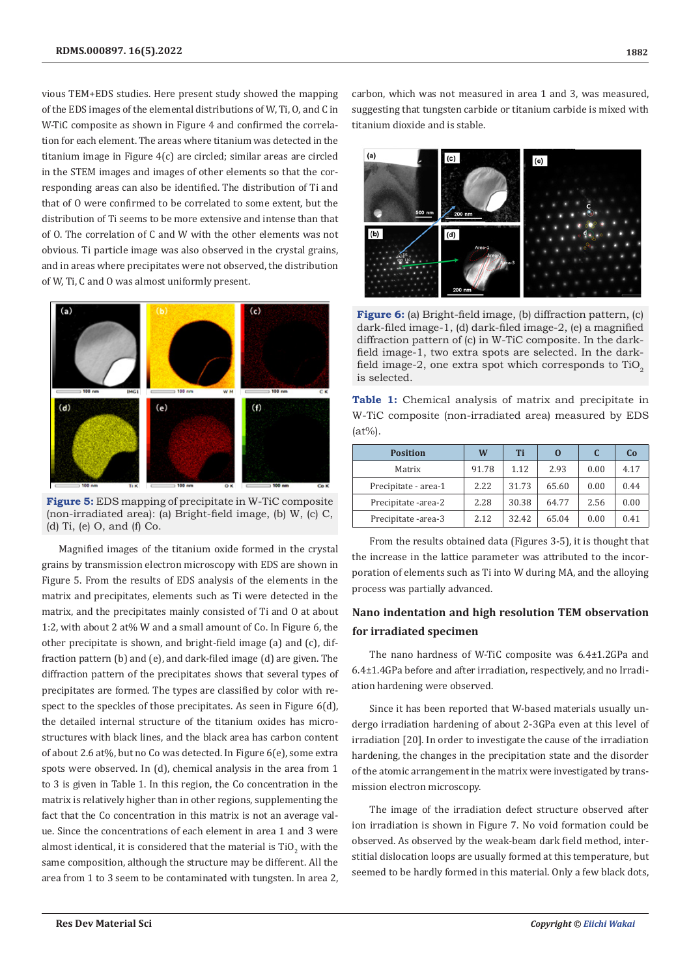vious TEM+EDS studies. Here present study showed the mapping of the EDS images of the elemental distributions of W, Ti, O, and C in W-TiC composite as shown in Figure 4 and confirmed the correlation for each element. The areas where titanium was detected in the titanium image in Figure 4(c) are circled; similar areas are circled in the STEM images and images of other elements so that the corresponding areas can also be identified. The distribution of Ti and that of O were confirmed to be correlated to some extent, but the distribution of Ti seems to be more extensive and intense than that of O. The correlation of C and W with the other elements was not obvious. Ti particle image was also observed in the crystal grains, and in areas where precipitates were not observed, the distribution of W, Ti, C and O was almost uniformly present.



**Figure 5:** EDS mapping of precipitate in W-TiC composite (non-irradiated area): (a) Bright-field image, (b) W, (c) C, (d) Ti, (e) O, and (f) Co.

Magnified images of the titanium oxide formed in the crystal grains by transmission electron microscopy with EDS are shown in Figure 5. From the results of EDS analysis of the elements in the matrix and precipitates, elements such as Ti were detected in the matrix, and the precipitates mainly consisted of Ti and O at about 1:2, with about 2 at% W and a small amount of Co. In Figure 6, the other precipitate is shown, and bright-field image (a) and (c), diffraction pattern (b) and (e), and dark-filed image (d) are given. The diffraction pattern of the precipitates shows that several types of precipitates are formed. The types are classified by color with respect to the speckles of those precipitates. As seen in Figure 6(d), the detailed internal structure of the titanium oxides has microstructures with black lines, and the black area has carbon content of about 2.6 at%, but no Co was detected. In Figure 6(e), some extra spots were observed. In (d), chemical analysis in the area from 1 to 3 is given in Table 1. In this region, the Co concentration in the matrix is relatively higher than in other regions, supplementing the fact that the Co concentration in this matrix is not an average value. Since the concentrations of each element in area 1 and 3 were almost identical, it is considered that the material is  $\mathrm{TiO}_2$  with the same composition, although the structure may be different. All the area from 1 to 3 seem to be contaminated with tungsten. In area 2,

carbon, which was not measured in area 1 and 3, was measured, suggesting that tungsten carbide or titanium carbide is mixed with titanium dioxide and is stable.



**Figure 6:** (a) Bright-field image, (b) diffraction pattern, (c) dark-filed image-1, (d) dark-filed image-2, (e) a magnified diffraction pattern of (c) in W-TiC composite. In the darkfield image-1, two extra spots are selected. In the darkfield image-2, one extra spot which corresponds to  $TiO<sub>2</sub>$ is selected.

|           | <b>Table 1:</b> Chemical analysis of matrix and precipitate in |  |  |  |  |  |
|-----------|----------------------------------------------------------------|--|--|--|--|--|
|           | W-TiC composite (non-irradiated area) measured by EDS          |  |  |  |  |  |
| $(at\%).$ |                                                                |  |  |  |  |  |

| <b>Position</b>      | W     | Ti    | O     | C    | C <sub>0</sub> |
|----------------------|-------|-------|-------|------|----------------|
| Matrix               | 91.78 | 1.12  | 2.93  | 0.00 | 4.17           |
| Precipitate - area-1 | 2.22  | 31.73 | 65.60 | 0.00 | 0.44           |
| Precipitate -area-2  | 2.28  | 30.38 | 64.77 | 2.56 | 0.00           |
| Precipitate -area-3  | 2.12  | 32.42 | 65.04 | 0.00 | 0.41           |

From the results obtained data (Figures 3-5), it is thought that the increase in the lattice parameter was attributed to the incorporation of elements such as Ti into W during MA, and the alloying process was partially advanced.

# **Nano indentation and high resolution TEM observation for irradiated specimen**

The nano hardness of W-TiC composite was 6.4±1.2GPa and 6.4±1.4GPa before and after irradiation, respectively, and no Irradiation hardening were observed.

Since it has been reported that W-based materials usually undergo irradiation hardening of about 2-3GPa even at this level of irradiation [20]. In order to investigate the cause of the irradiation hardening, the changes in the precipitation state and the disorder of the atomic arrangement in the matrix were investigated by transmission electron microscopy.

The image of the irradiation defect structure observed after ion irradiation is shown in Figure 7. No void formation could be observed. As observed by the weak-beam dark field method, interstitial dislocation loops are usually formed at this temperature, but seemed to be hardly formed in this material. Only a few black dots,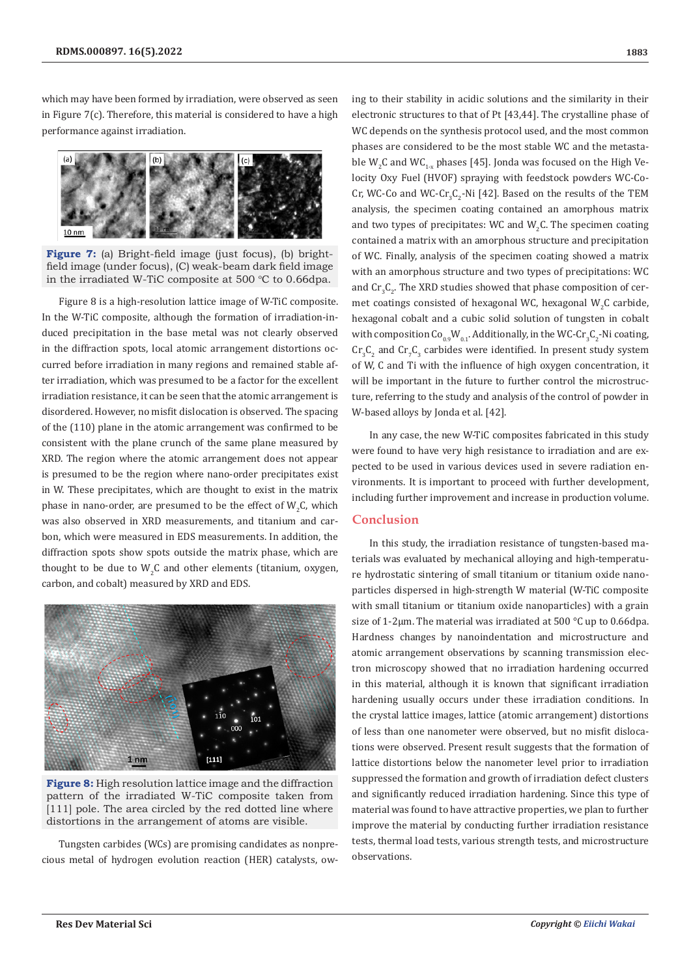which may have been formed by irradiation, were observed as seen in Figure 7(c). Therefore, this material is considered to have a high performance against irradiation.



**Figure 7:** (a) Bright-field image (just focus), (b) brightfield image (under focus), (C) weak-beam dark field image in the irradiated W-TiC composite at 500  $^{\circ}$ C to 0.66dpa.

Figure 8 is a high-resolution lattice image of W-TiC composite. In the W-TiC composite, although the formation of irradiation-induced precipitation in the base metal was not clearly observed in the diffraction spots, local atomic arrangement distortions occurred before irradiation in many regions and remained stable after irradiation, which was presumed to be a factor for the excellent irradiation resistance, it can be seen that the atomic arrangement is disordered. However, no misfit dislocation is observed. The spacing of the (110) plane in the atomic arrangement was confirmed to be consistent with the plane crunch of the same plane measured by XRD. The region where the atomic arrangement does not appear is presumed to be the region where nano-order precipitates exist in W. These precipitates, which are thought to exist in the matrix phase in nano-order, are presumed to be the effect of  $W_2C$ , which was also observed in XRD measurements, and titanium and carbon, which were measured in EDS measurements. In addition, the diffraction spots show spots outside the matrix phase, which are thought to be due to  $W_2C$  and other elements (titanium, oxygen, carbon, and cobalt) measured by XRD and EDS.



**Figure 8:** High resolution lattice image and the diffraction pattern of the irradiated W-TiC composite taken from [111] pole. The area circled by the red dotted line where distortions in the arrangement of atoms are visible.

Tungsten carbides (WCs) are promising candidates as nonprecious metal of hydrogen evolution reaction (HER) catalysts, owing to their stability in acidic solutions and the similarity in their electronic structures to that of Pt [43,44]. The crystalline phase of WC depends on the synthesis protocol used, and the most common phases are considered to be the most stable WC and the metastable  $W_2C$  and  $WC_{1-x}$  phases [45]. Jonda was focused on the High Velocity Oxy Fuel (HVOF) spraying with feedstock powders WC-Co-Cr, WC-Co and WC-Cr<sub>3</sub>C<sub>2</sub>-Ni [42]. Based on the results of the TEM analysis, the specimen coating contained an amorphous matrix and two types of precipitates: WC and  $W_2C$ . The specimen coating contained a matrix with an amorphous structure and precipitation of WC. Finally, analysis of the specimen coating showed a matrix with an amorphous structure and two types of precipitations: WC and  $\rm Cr_{3}C_{2}$ . The XRD studies showed that phase composition of cermet coatings consisted of hexagonal WC, hexagonal  $W_2C$  carbide, hexagonal cobalt and a cubic solid solution of tungsten in cobalt with composition  $Co_{0.9}W_{0.1}$ . Additionally, in the WC-Cr<sub>3</sub>C<sub>2</sub>-Ni coating,  $\rm Cr_{3}C_{2}$  and  $\rm Cr_{7}C_{3}$  carbides were identified. In present study system of W, C and Ti with the influence of high oxygen concentration, it will be important in the future to further control the microstructure, referring to the study and analysis of the control of powder in W-based alloys by Jonda et al. [42].

In any case, the new W-TiC composites fabricated in this study were found to have very high resistance to irradiation and are expected to be used in various devices used in severe radiation environments. It is important to proceed with further development, including further improvement and increase in production volume.

## **Conclusion**

In this study, the irradiation resistance of tungsten-based materials was evaluated by mechanical alloying and high-temperature hydrostatic sintering of small titanium or titanium oxide nanoparticles dispersed in high-strength W material (W-TiC composite with small titanium or titanium oxide nanoparticles) with a grain size of 1-2μm. The material was irradiated at 500 °C up to 0.66dpa. Hardness changes by nanoindentation and microstructure and atomic arrangement observations by scanning transmission electron microscopy showed that no irradiation hardening occurred in this material, although it is known that significant irradiation hardening usually occurs under these irradiation conditions. In the crystal lattice images, lattice (atomic arrangement) distortions of less than one nanometer were observed, but no misfit dislocations were observed. Present result suggests that the formation of lattice distortions below the nanometer level prior to irradiation suppressed the formation and growth of irradiation defect clusters and significantly reduced irradiation hardening. Since this type of material was found to have attractive properties, we plan to further improve the material by conducting further irradiation resistance tests, thermal load tests, various strength tests, and microstructure observations.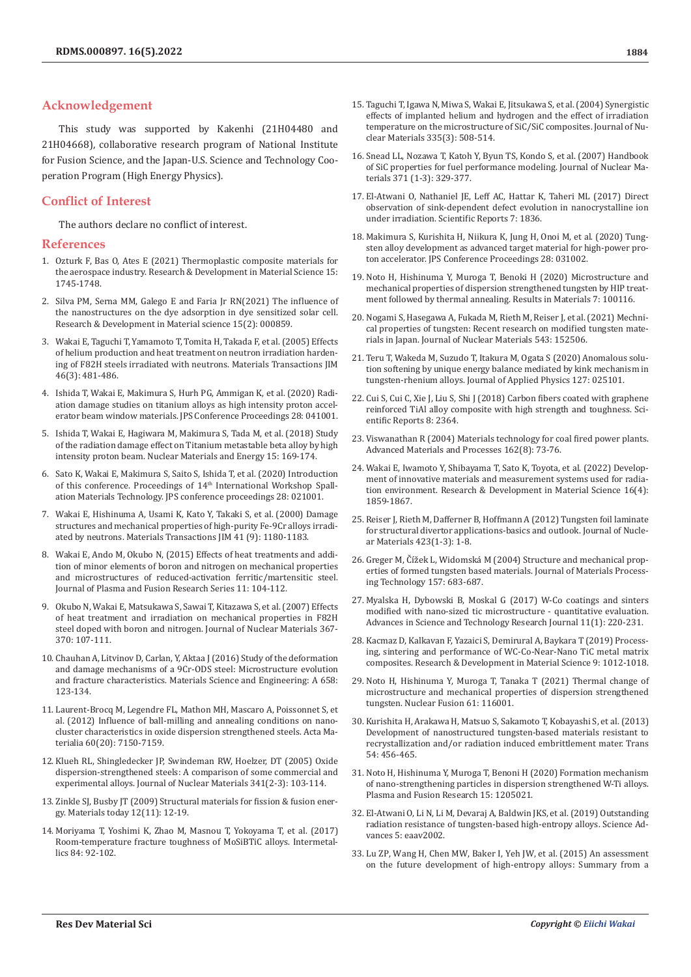## **Acknowledgement**

This study was supported by Kakenhi (21H04480 and 21H04668), collaborative research program of National Institute for Fusion Science, and the Japan-U.S. Science and Technology Cooperation Program (High Energy Physics).

## **Conflict of Interest**

The authors declare no conflict of interest.

#### **References**

- 1. [Ozturk F, Bas O, Ates E \(2021\) Thermoplastic composite materials for](https://crimsonpublishers.com/rdms/pdf/RDMS.000872.pdf)  [the aerospace industry. Research & Development in Material Science 15:](https://crimsonpublishers.com/rdms/pdf/RDMS.000872.pdf)  [1745-1748.](https://crimsonpublishers.com/rdms/pdf/RDMS.000872.pdf)
- 2. [Silva PM, Serna MM, Galego E and Faria Jr RN\(2021\) The influence of](https://crimsonpublishers.com/rdms/pdf/RDMS.000859.pdf)  [the nanostructures on the dye adsorption in dye sensitized solar cell.](https://crimsonpublishers.com/rdms/pdf/RDMS.000859.pdf)  [Research & Development in Material science 15\(2\): 000859.](https://crimsonpublishers.com/rdms/pdf/RDMS.000859.pdf)
- 3. [Wakai E, Taguchi T, Yamamoto T, Tomita H, Takada F, et al. \(2005\) Effects](https://inis.iaea.org/search/search.aspx?orig_q=RN:36064019)  [of helium production and heat treatment on neutron irradiation harden](https://inis.iaea.org/search/search.aspx?orig_q=RN:36064019)[ing of F82H steels irradiated with neutrons. Materials Transactions JIM](https://inis.iaea.org/search/search.aspx?orig_q=RN:36064019)  [46\(3\): 481-486.](https://inis.iaea.org/search/search.aspx?orig_q=RN:36064019)
- 4. [Ishida T, Wakai E, Makimura S, Hurh PG, Ammigan K, et al. \(2020\) Radi](https://arxiv.org/abs/1911.10198)[ation damage studies on titanium alloys as high intensity proton accel](https://arxiv.org/abs/1911.10198)[erator beam window materials. JPS Conference Proceedings 28: 041001.](https://arxiv.org/abs/1911.10198)
- 5. [Ishida T, Wakai E, Hagiwara M, Makimura S, Tada M, et al. \(2018\) Study](https://www.sciencedirect.com/science/article/pii/S2352179117300935)  [of the radiation damage effect on Titanium metastable beta alloy by high](https://www.sciencedirect.com/science/article/pii/S2352179117300935)  [intensity proton beam. Nuclear Materials and Energy 15: 169-174.](https://www.sciencedirect.com/science/article/pii/S2352179117300935)
- 6. [Sato K, Wakai E, Makimura S, Saito S, Ishida T, et al. \(2020\) Introduction](https://journals.jps.jp/doi/abs/10.7566/JPSCP.28.021001)  [of this conference. Proceedings of 14](https://journals.jps.jp/doi/abs/10.7566/JPSCP.28.021001)<sup>th</sup> International Workshop Spall[ation Materials Technology. JPS conference proceedings 28: 021001.](https://journals.jps.jp/doi/abs/10.7566/JPSCP.28.021001)
- 7. [Wakai E, Hishinuma A, Usami K, Kato Y, Takaki S, et al. \(2000\) Damage](https://www.jstage.jst.go.jp/article/matertrans1989/41/9/41_9_1180/_article)  [structures and mechanical properties of high-purity Fe-9Cr alloys irradi](https://www.jstage.jst.go.jp/article/matertrans1989/41/9/41_9_1180/_article)[ated by neutrons. Materials Transactions JIM 41 \(9\): 1180-1183.](https://www.jstage.jst.go.jp/article/matertrans1989/41/9/41_9_1180/_article)
- 8. Wakai E, Ando M, Okubo N, (2015) Effects of heat treatments and addition of minor elements of boron and nitrogen on mechanical properties and microstructures of reduced-activation ferritic/martensitic steel. Journal of Plasma and Fusion Research Series 11: 104-112.
- 9. [Okubo N, Wakai E, Matsukawa S, Sawai T, Kitazawa S, et al. \(2007\) Effects](https://ui.adsabs.harvard.edu/abs/2007JNuM..367..107O/abstract)  [of heat treatment and irradiation on mechanical properties in F82H](https://ui.adsabs.harvard.edu/abs/2007JNuM..367..107O/abstract)  [steel doped with boron and nitrogen. Journal of Nuclear Materials 367-](https://ui.adsabs.harvard.edu/abs/2007JNuM..367..107O/abstract) [370: 107-111.](https://ui.adsabs.harvard.edu/abs/2007JNuM..367..107O/abstract)
- 10. [Chauhan A, Litvinov D, Carlan, Y, Aktaa J \(2016\) Study of the deformation](https://www.sciencedirect.com/science/article/abs/pii/S0921509316301071)  [and damage mechanisms of a 9Cr-ODS steel: Microstructure evolution](https://www.sciencedirect.com/science/article/abs/pii/S0921509316301071)  [and fracture characteristics. Materials Science and Engineering: A 658:](https://www.sciencedirect.com/science/article/abs/pii/S0921509316301071)  [123-134.](https://www.sciencedirect.com/science/article/abs/pii/S0921509316301071)
- 11. [Laurent-Brocq M, Legendre FL, Mathon MH, Mascaro A, Poissonnet S, et](https://www.sciencedirect.com/science/article/abs/pii/S1359645412006477)  [al. \(2012\) Influence of ball-milling and annealing conditions on nano](https://www.sciencedirect.com/science/article/abs/pii/S1359645412006477)[cluster characteristics in oxide dispersion strengthened steels. Acta Ma](https://www.sciencedirect.com/science/article/abs/pii/S1359645412006477)[terialia 60\(20\): 7150-7159.](https://www.sciencedirect.com/science/article/abs/pii/S1359645412006477)
- 12. [Klueh RL, Shingledecker JP, Swindeman RW, Hoelzer, DT \(2005\) Oxide](https://ui.adsabs.harvard.edu/abs/2005JNuM..341..103K/abstract)  [dispersion-strengthened steels: A comparison of some commercial and](https://ui.adsabs.harvard.edu/abs/2005JNuM..341..103K/abstract)  [experimental alloys. Journal of Nuclear Materials 341\(2-3\): 103-114.](https://ui.adsabs.harvard.edu/abs/2005JNuM..341..103K/abstract)
- 13. [Zinkle SJ, Busby JT \(2009\) Structural materials for fission & fusion ener](https://www.sciencedirect.com/science/article/pii/S1369702109702949)[gy. Materials today 12\(11\): 12-19.](https://www.sciencedirect.com/science/article/pii/S1369702109702949)
- 14. [Moriyama T, Yoshimi K, Zhao M, Masnou T, Yokoyama T, et al. \(2017\)](https://www.sciencedirect.com/science/article/abs/pii/S0966979516303934)  [Room-temperature fracture toughness of MoSiBTiC alloys. Intermetal](https://www.sciencedirect.com/science/article/abs/pii/S0966979516303934)lics 84: 92-102
- 15. [Taguchi T, Igawa N, Miwa S, Wakai E, Jitsukawa S, et al. \(2004\) Synergistic](https://www.infona.pl/resource/bwmeta1.element.elsevier-0e615484-3823-3ceb-9223-db6fdf5ebdd9) [effects of implanted helium and hydrogen and the effect of irradiation](https://www.infona.pl/resource/bwmeta1.element.elsevier-0e615484-3823-3ceb-9223-db6fdf5ebdd9) [temperature on the microstructure of SiC/SiC composites. Journal of Nu](https://www.infona.pl/resource/bwmeta1.element.elsevier-0e615484-3823-3ceb-9223-db6fdf5ebdd9)[clear Materials 335\(3\): 508-514.](https://www.infona.pl/resource/bwmeta1.element.elsevier-0e615484-3823-3ceb-9223-db6fdf5ebdd9)
- 16. [Snead LL, Nozawa T, Katoh Y, Byun TS, Kondo S, et al. \(2007\) Handbook](https://www.sciencedirect.com/science/article/abs/pii/S0022311507007623) [of SiC properties for fuel performance modeling. Journal of Nuclear Ma](https://www.sciencedirect.com/science/article/abs/pii/S0022311507007623)[terials 371 \(1-3\): 329-377.](https://www.sciencedirect.com/science/article/abs/pii/S0022311507007623)
- 17. [El-Atwani O, Nathaniel JE, Leff AC, Hattar K, Taheri ML \(2017\) Direct](https://www.nature.com/articles/s41598-017-01744-x) [observation of sink-dependent defect evolution in nanocrystalline ion](https://www.nature.com/articles/s41598-017-01744-x) [under irradiation. Scientific Reports 7: 1836.](https://www.nature.com/articles/s41598-017-01744-x)
- 18. [Makimura S, Kurishita H, Niikura K, Jung H, Onoi M, et al. \(2020\) Tung](https://journals.jps.jp/doi/abs/10.7566/JPSCP.28.031002)[sten alloy development as advanced target material for high-power pro](https://journals.jps.jp/doi/abs/10.7566/JPSCP.28.031002)[ton accelerator. JPS Conference Proceedings 28: 031002.](https://journals.jps.jp/doi/abs/10.7566/JPSCP.28.031002)
- 19. [Noto H, Hishinuma Y, Muroga T, Benoki H \(2020\) Microstructure and](https://www.sciencedirect.com/science/article/pii/S2590048X20300583) [mechanical properties of dispersion strengthened tungsten by HIP treat](https://www.sciencedirect.com/science/article/pii/S2590048X20300583)[ment followed by thermal annealing. Results in Materials 7: 100116.](https://www.sciencedirect.com/science/article/pii/S2590048X20300583)
- 20. [Nogami S, Hasegawa A, Fukada M, Rieth M, Reiser J, et al. \(2021\) Mechni](https://www.sciencedirect.com/science/article/abs/pii/S0022311520311144)[cal properties of tungsten: Recent research on modified tungsten mate](https://www.sciencedirect.com/science/article/abs/pii/S0022311520311144)[rials in Japan. Journal of Nuclear Materials 543: 152506.](https://www.sciencedirect.com/science/article/abs/pii/S0022311520311144)
- 21. [Teru T, Wakeda M, Suzudo T, Itakura M, Ogata S \(2020\) Anomalous solu](https://aip.scitation.org/doi/abs/10.1063/1.5131279)[tion softening by unique energy balance mediated by kink mechanism in](https://aip.scitation.org/doi/abs/10.1063/1.5131279) [tungsten-rhenium alloys. Journal of Applied Physics 127: 025101.](https://aip.scitation.org/doi/abs/10.1063/1.5131279)
- 22. [Cui S, Cui C, Xie J, Liu S, Shi J \(2018\) Carbon fibers coated with graphene](https://www.nature.com/articles/s41598-018-20799-y) [reinforced TiAl alloy composite with high strength and toughness. Sci](https://www.nature.com/articles/s41598-018-20799-y)[entific Reports 8: 2364.](https://www.nature.com/articles/s41598-018-20799-y)
- 23. [Viswanathan R \(2004\) Materials technology for coal fired power plants.](https://www.osti.gov/etdeweb/biblio/20539663) [Advanced Materials and Processes 162\(8\): 73-76.](https://www.osti.gov/etdeweb/biblio/20539663)
- 24. [Wakai E, Iwamoto Y, Shibayama T, Sato K, Toyota, et al. \(2022\) Develop](https://crimsonpublishers.com/rdms/pdf/RDMS.000894.pdf)[ment of innovative materials and measurement systems used for radia](https://crimsonpublishers.com/rdms/pdf/RDMS.000894.pdf)[tion environment. Research & Development in Material Science 16\(4\):](https://crimsonpublishers.com/rdms/pdf/RDMS.000894.pdf) [1859-1867.](https://crimsonpublishers.com/rdms/pdf/RDMS.000894.pdf)
- 25. [Reiser J, Rieth M, Dafferner B, Hoffmann A \(2012\) Tungsten foil laminate](https://inis.iaea.org/search/search.aspx?orig_q=RN:43086035) [for structural divertor applications-basics and outlook. Journal of Nucle](https://inis.iaea.org/search/search.aspx?orig_q=RN:43086035)[ar Materials 423\(1-3\): 1-8.](https://inis.iaea.org/search/search.aspx?orig_q=RN:43086035)
- 26. Greger M, Čížek L, Widomská M (2004) Structure and mechanical properties of formed tungsten based materials. Journal of Materials Processing Technology 157: 683-687.
- 27. [Myalska H, Dybowski B, Moskal G \(2017\) W-Co coatings and sinters](http://www.astrj.com/WC-Co-COATINGS-AND-SINTERS-MODIFIED-WITH-NANO-SIZED-TiC-MICROSTRUCTURE-QUANTITATIVE-EVALUATION,67679,0,2.html) [modified with nano-sized tic microstructure - quantitative evaluation.](http://www.astrj.com/WC-Co-COATINGS-AND-SINTERS-MODIFIED-WITH-NANO-SIZED-TiC-MICROSTRUCTURE-QUANTITATIVE-EVALUATION,67679,0,2.html) [Advances in Science and Technology Research Journal 11\(1\): 220-231.](http://www.astrj.com/WC-Co-COATINGS-AND-SINTERS-MODIFIED-WITH-NANO-SIZED-TiC-MICROSTRUCTURE-QUANTITATIVE-EVALUATION,67679,0,2.html)
- 28. [Kacmaz D, Kalkavan F, Yazaici S, Demirural A, Baykara T \(2019\) Process](https://crimsonpublishers.com/rdms/pdf/RDMS.000714.pdf)[ing, sintering and performance of WC-Co-Near-Nano TiC metal matrix](https://crimsonpublishers.com/rdms/pdf/RDMS.000714.pdf) [composites. Research & Development in Material Science 9: 1012-1018.](https://crimsonpublishers.com/rdms/pdf/RDMS.000714.pdf)
- 29. [Noto H, Hishinuma Y, Muroga T, Tanaka T \(2021\) Thermal change of](https://iopscience.iop.org/article/10.1088/1741-4326/ac233d) [microstructure and mechanical properties of dispersion strengthened](https://iopscience.iop.org/article/10.1088/1741-4326/ac233d) [tungsten. Nuclear Fusion 61: 116001.](https://iopscience.iop.org/article/10.1088/1741-4326/ac233d)
- 30. [Kurishita H, Arakawa H, Matsuo S, Sakamoto T, Kobayashi S, et al. \(2013\)](https://www.jstage.jst.go.jp/article/matertrans/54/4/54_MG201209/_article) [Development of nanostructured tungsten-based materials resistant to](https://www.jstage.jst.go.jp/article/matertrans/54/4/54_MG201209/_article) [recrystallization and/or radiation induced embrittlement mater. Trans](https://www.jstage.jst.go.jp/article/matertrans/54/4/54_MG201209/_article) [54: 456-465.](https://www.jstage.jst.go.jp/article/matertrans/54/4/54_MG201209/_article)
- 31. [Noto H, Hishinuma Y, Muroga T, Benoni H \(2020\) Formation mechanism](https://www.jstage.jst.go.jp/article/pfr/15/0/15_1205021/_article) [of nano-strengthening particles in dispersion strengthened W-Ti alloys.](https://www.jstage.jst.go.jp/article/pfr/15/0/15_1205021/_article) [Plasma and Fusion Research 15: 1205021.](https://www.jstage.jst.go.jp/article/pfr/15/0/15_1205021/_article)
- 32. [El-Atwani O, Li N, Li M, Devaraj A, Baldwin JKS, et al. \(2019\) Outstanding](https://www.science.org/doi/10.1126/sciadv.aav2002) [radiation resistance of tungsten-based high-entropy alloys. Science Ad](https://www.science.org/doi/10.1126/sciadv.aav2002)[vances 5: eaav2002.](https://www.science.org/doi/10.1126/sciadv.aav2002)
- 33. [Lu ZP, Wang H, Chen MW, Baker I, Yeh JW, et al. \(2015\) An assessment](https://www.sciencedirect.com/science/article/abs/pii/S0966979515300248) [on the future development of high-entropy alloys: Summary from a](https://www.sciencedirect.com/science/article/abs/pii/S0966979515300248)